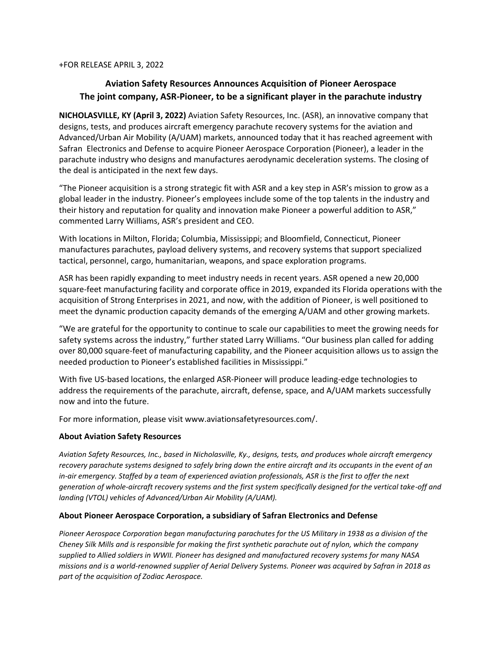+FOR RELEASE APRIL 3, 2022

## **Aviation Safety Resources Announces Acquisition of Pioneer Aerospace The joint company, ASR-Pioneer, to be a significant player in the parachute industry**

**NICHOLASVILLE, KY (April 3, 2022)** Aviation Safety Resources, Inc. (ASR), an innovative company that designs, tests, and produces aircraft emergency parachute recovery systems for the aviation and Advanced/Urban Air Mobility (A/UAM) markets, announced today that it has reached agreement with Safran Electronics and Defense to acquire Pioneer Aerospace Corporation (Pioneer), a leader in the parachute industry who designs and manufactures aerodynamic deceleration systems. The closing of the deal is anticipated in the next few days.

"The Pioneer acquisition is a strong strategic fit with ASR and a key step in ASR's mission to grow as a global leader in the industry. Pioneer's employees include some of the top talents in the industry and their history and reputation for quality and innovation make Pioneer a powerful addition to ASR," commented Larry Williams, ASR's president and CEO.

With locations in Milton, Florida; Columbia, Mississippi; and Bloomfield, Connecticut, Pioneer manufactures parachutes, payload delivery systems, and recovery systems that support specialized tactical, personnel, cargo, humanitarian, weapons, and space exploration programs.

ASR has been rapidly expanding to meet industry needs in recent years. ASR opened a new 20,000 square-feet manufacturing facility and corporate office in 2019, expanded its Florida operations with the acquisition of Strong Enterprises in 2021, and now, with the addition of Pioneer, is well positioned to meet the dynamic production capacity demands of the emerging A/UAM and other growing markets.

"We are grateful for the opportunity to continue to scale our capabilities to meet the growing needs for safety systems across the industry," further stated Larry Williams. "Our business plan called for adding over 80,000 square-feet of manufacturing capability, and the Pioneer acquisition allows us to assign the needed production to Pioneer's established facilities in Mississippi."

With five US-based locations, the enlarged ASR-Pioneer will produce leading-edge technologies to address the requirements of the parachute, aircraft, defense, space, and A/UAM markets successfully now and into the future.

For more information, please visit www.aviationsafetyresources.com/.

## **About Aviation Safety Resources**

*Aviation Safety Resources, Inc., based in Nicholasville, Ky., designs, tests, and produces whole aircraft emergency recovery parachute systems designed to safely bring down the entire aircraft and its occupants in the event of an in-air emergency. Staffed by a team of experienced aviation professionals, ASR is the first to offer the next generation of whole-aircraft recovery systems and the first system specifically designed for the vertical take-off and landing (VTOL) vehicles of Advanced/Urban Air Mobility (A/UAM).* 

## **About Pioneer Aerospace Corporation, a subsidiary of Safran Electronics and Defense**

*Pioneer Aerospace Corporation began manufacturing parachutes for the US Military in 1938 as a division of the Cheney Silk Mills and is responsible for making the first synthetic parachute out of nylon, which the company supplied to Allied soldiers in WWII. Pioneer has designed and manufactured recovery systems for many NASA missions and is a world-renowned supplier of Aerial Delivery Systems. Pioneer was acquired by Safran in 2018 as part of the acquisition of Zodiac Aerospace.*